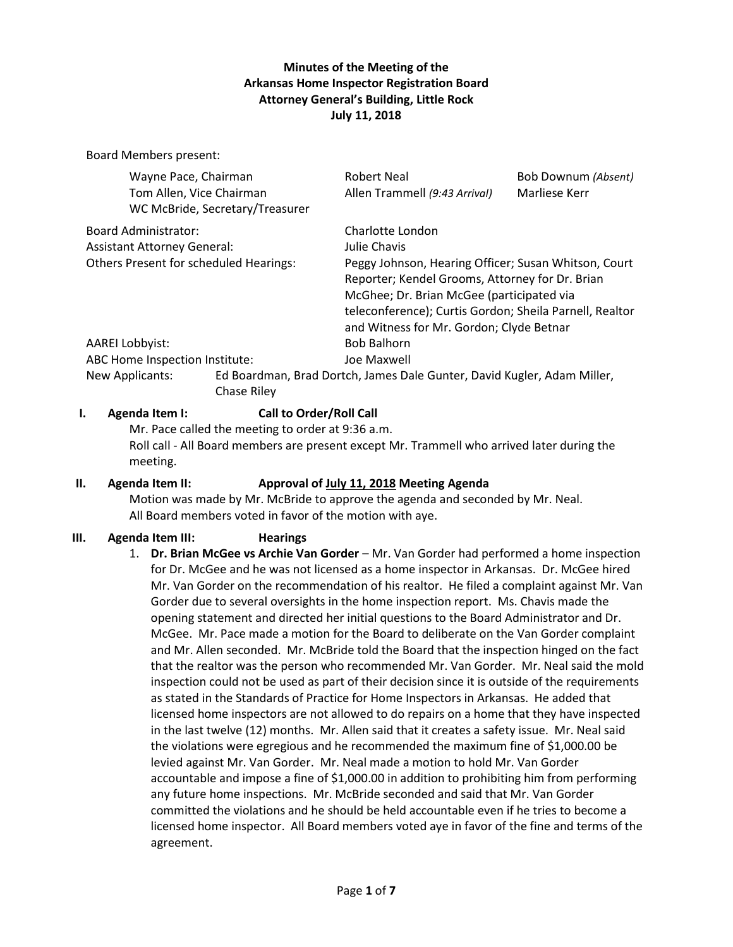# **Minutes of the Meeting of the Arkansas Home Inspector Registration Board Attorney General's Building, Little Rock July 11, 2018**

Board Members present:

| Wayne Pace, Chairman<br>Tom Allen, Vice Chairman           | WC McBride, Secretary/Treasurer | <b>Robert Neal</b><br>Allen Trammell (9:43 Arrival)                                                                                                                                                                                                         | Bob Downum (Absent)<br>Marliese Kerr |
|------------------------------------------------------------|---------------------------------|-------------------------------------------------------------------------------------------------------------------------------------------------------------------------------------------------------------------------------------------------------------|--------------------------------------|
| Board Administrator:<br><b>Assistant Attorney General:</b> |                                 | Charlotte London<br>Julie Chavis                                                                                                                                                                                                                            |                                      |
| <b>Others Present for scheduled Hearings:</b>              |                                 | Peggy Johnson, Hearing Officer; Susan Whitson, Court<br>Reporter; Kendel Grooms, Attorney for Dr. Brian<br>McGhee; Dr. Brian McGee (participated via<br>teleconference); Curtis Gordon; Sheila Parnell, Realtor<br>and Witness for Mr. Gordon; Clyde Betnar |                                      |
| AAREI Lobbyist:                                            |                                 | <b>Bob Balhorn</b>                                                                                                                                                                                                                                          |                                      |
| ABC Home Inspection Institute:                             |                                 | Joe Maxwell                                                                                                                                                                                                                                                 |                                      |
| <b>New Applicants:</b>                                     | Chase Riley                     | Ed Boardman, Brad Dortch, James Dale Gunter, David Kugler, Adam Miller,                                                                                                                                                                                     |                                      |

# **I. Agenda Item I: Call to Order/Roll Call**

Mr. Pace called the meeting to order at 9:36 a.m. Roll call - All Board members are present except Mr. Trammell who arrived later during the meeting.

## **II. Agenda Item II: Approval of July 11, 2018 Meeting Agenda**

Motion was made by Mr. McBride to approve the agenda and seconded by Mr. Neal. All Board members voted in favor of the motion with aye.

## **III. Agenda Item III: Hearings**

1. **Dr. Brian McGee vs Archie Van Gorder** – Mr. Van Gorder had performed a home inspection for Dr. McGee and he was not licensed as a home inspector in Arkansas. Dr. McGee hired Mr. Van Gorder on the recommendation of his realtor. He filed a complaint against Mr. Van Gorder due to several oversights in the home inspection report. Ms. Chavis made the opening statement and directed her initial questions to the Board Administrator and Dr. McGee. Mr. Pace made a motion for the Board to deliberate on the Van Gorder complaint and Mr. Allen seconded. Mr. McBride told the Board that the inspection hinged on the fact that the realtor was the person who recommended Mr. Van Gorder. Mr. Neal said the mold inspection could not be used as part of their decision since it is outside of the requirements as stated in the Standards of Practice for Home Inspectors in Arkansas. He added that licensed home inspectors are not allowed to do repairs on a home that they have inspected in the last twelve (12) months. Mr. Allen said that it creates a safety issue. Mr. Neal said the violations were egregious and he recommended the maximum fine of \$1,000.00 be levied against Mr. Van Gorder. Mr. Neal made a motion to hold Mr. Van Gorder accountable and impose a fine of \$1,000.00 in addition to prohibiting him from performing any future home inspections. Mr. McBride seconded and said that Mr. Van Gorder committed the violations and he should be held accountable even if he tries to become a licensed home inspector. All Board members voted aye in favor of the fine and terms of the agreement.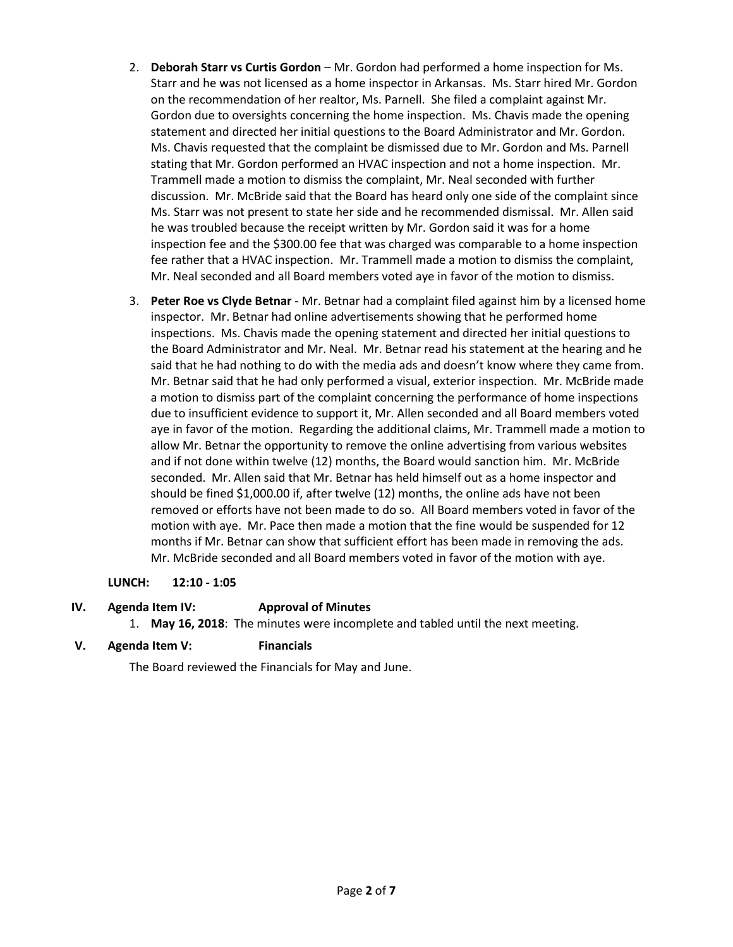- 2. **Deborah Starr vs Curtis Gordon** Mr. Gordon had performed a home inspection for Ms. Starr and he was not licensed as a home inspector in Arkansas. Ms. Starr hired Mr. Gordon on the recommendation of her realtor, Ms. Parnell. She filed a complaint against Mr. Gordon due to oversights concerning the home inspection. Ms. Chavis made the opening statement and directed her initial questions to the Board Administrator and Mr. Gordon. Ms. Chavis requested that the complaint be dismissed due to Mr. Gordon and Ms. Parnell stating that Mr. Gordon performed an HVAC inspection and not a home inspection. Mr. Trammell made a motion to dismiss the complaint, Mr. Neal seconded with further discussion. Mr. McBride said that the Board has heard only one side of the complaint since Ms. Starr was not present to state her side and he recommended dismissal. Mr. Allen said he was troubled because the receipt written by Mr. Gordon said it was for a home inspection fee and the \$300.00 fee that was charged was comparable to a home inspection fee rather that a HVAC inspection. Mr. Trammell made a motion to dismiss the complaint, Mr. Neal seconded and all Board members voted aye in favor of the motion to dismiss.
- 3. **Peter Roe vs Clyde Betnar** Mr. Betnar had a complaint filed against him by a licensed home inspector. Mr. Betnar had online advertisements showing that he performed home inspections. Ms. Chavis made the opening statement and directed her initial questions to the Board Administrator and Mr. Neal. Mr. Betnar read his statement at the hearing and he said that he had nothing to do with the media ads and doesn't know where they came from. Mr. Betnar said that he had only performed a visual, exterior inspection. Mr. McBride made a motion to dismiss part of the complaint concerning the performance of home inspections due to insufficient evidence to support it, Mr. Allen seconded and all Board members voted aye in favor of the motion. Regarding the additional claims, Mr. Trammell made a motion to allow Mr. Betnar the opportunity to remove the online advertising from various websites and if not done within twelve (12) months, the Board would sanction him. Mr. McBride seconded. Mr. Allen said that Mr. Betnar has held himself out as a home inspector and should be fined \$1,000.00 if, after twelve (12) months, the online ads have not been removed or efforts have not been made to do so. All Board members voted in favor of the motion with aye. Mr. Pace then made a motion that the fine would be suspended for 12 months if Mr. Betnar can show that sufficient effort has been made in removing the ads. Mr. McBride seconded and all Board members voted in favor of the motion with aye.

# **LUNCH: 12:10 - 1:05**

# **IV. Agenda Item IV: Approval of Minutes**

1. **May 16, 2018**: The minutes were incomplete and tabled until the next meeting.

# **V. Agenda Item V: Financials**

The Board reviewed the Financials for May and June.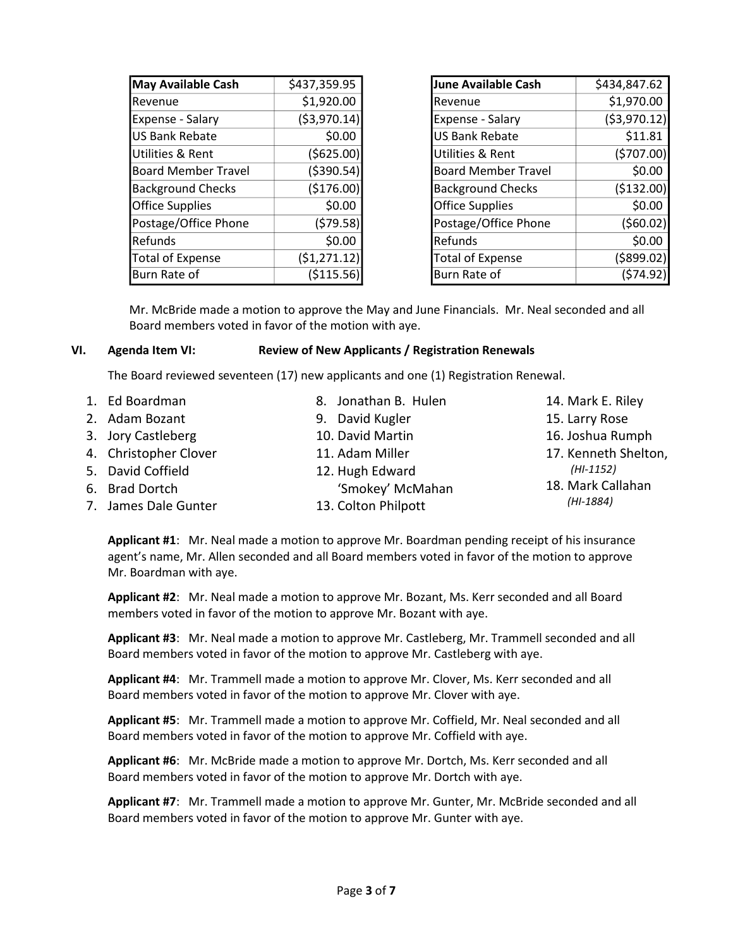| <b>May Available Cash</b>  | \$437,359.95  |
|----------------------------|---------------|
| Revenue                    | \$1,920.00    |
| Expense - Salary           | ( \$3,970.14) |
| <b>US Bank Rebate</b>      | \$0.00        |
| Utilities & Rent           | (\$625.00)    |
| <b>Board Member Travel</b> | ( \$390.54)   |
| <b>Background Checks</b>   | (\$176.00)    |
| <b>Office Supplies</b>     | \$0.00        |
| Postage/Office Phone       | (579.58)      |
| Refunds                    | \$0.00        |
| <b>Total of Expense</b>    | (51, 271.12)  |
| Burn Rate of               | ( \$115.56    |

| June Available Cash        | \$434,847.62  |
|----------------------------|---------------|
| Revenue                    | \$1,970.00    |
| Expense - Salary           | ( \$3,970.12) |
| <b>US Bank Rebate</b>      | \$11.81       |
| Utilities & Rent           | (5707.00)     |
| <b>Board Member Travel</b> | \$0.00        |
| <b>Background Checks</b>   | (\$132.00)    |
| <b>Office Supplies</b>     | \$0.00        |
| Postage/Office Phone       | (560.02)      |
| Refunds                    | \$0.00        |
| <b>Total of Expense</b>    | ( \$899.02)   |
| Burn Rate of               | (\$74.92      |

Mr. McBride made a motion to approve the May and June Financials. Mr. Neal seconded and all Board members voted in favor of the motion with aye.

## **VI. Agenda Item VI: Review of New Applicants / Registration Renewals**

The Board reviewed seventeen (17) new applicants and one (1) Registration Renewal.

| 1. Ed Boardman        | 8. Jonathan B. Hulen | 14. Mark E. Riley    |
|-----------------------|----------------------|----------------------|
| 2. Adam Bozant        | 9. David Kugler      | 15. Larry Rose       |
| 3. Jory Castleberg    | 10. David Martin     | 16. Joshua Rumph     |
| 4. Christopher Clover | 11. Adam Miller      | 17. Kenneth Shelton, |
| 5. David Coffield     | 12. Hugh Edward      | $(HI-1152)$          |
| 6. Brad Dortch        | 'Smokey' McMahan     | 18. Mark Callahan    |
| 7. James Dale Gunter  | 13. Colton Philpott  | (HI-1884)            |
|                       |                      |                      |

**Applicant #1**: Mr. Neal made a motion to approve Mr. Boardman pending receipt of his insurance agent's name, Mr. Allen seconded and all Board members voted in favor of the motion to approve Mr. Boardman with aye.

**Applicant #2**: Mr. Neal made a motion to approve Mr. Bozant, Ms. Kerr seconded and all Board members voted in favor of the motion to approve Mr. Bozant with aye.

**Applicant #3**: Mr. Neal made a motion to approve Mr. Castleberg, Mr. Trammell seconded and all Board members voted in favor of the motion to approve Mr. Castleberg with aye.

**Applicant #4**: Mr. Trammell made a motion to approve Mr. Clover, Ms. Kerr seconded and all Board members voted in favor of the motion to approve Mr. Clover with aye.

**Applicant #5**: Mr. Trammell made a motion to approve Mr. Coffield, Mr. Neal seconded and all Board members voted in favor of the motion to approve Mr. Coffield with aye.

**Applicant #6**: Mr. McBride made a motion to approve Mr. Dortch, Ms. Kerr seconded and all Board members voted in favor of the motion to approve Mr. Dortch with aye.

**Applicant #7**: Mr. Trammell made a motion to approve Mr. Gunter, Mr. McBride seconded and all Board members voted in favor of the motion to approve Mr. Gunter with aye.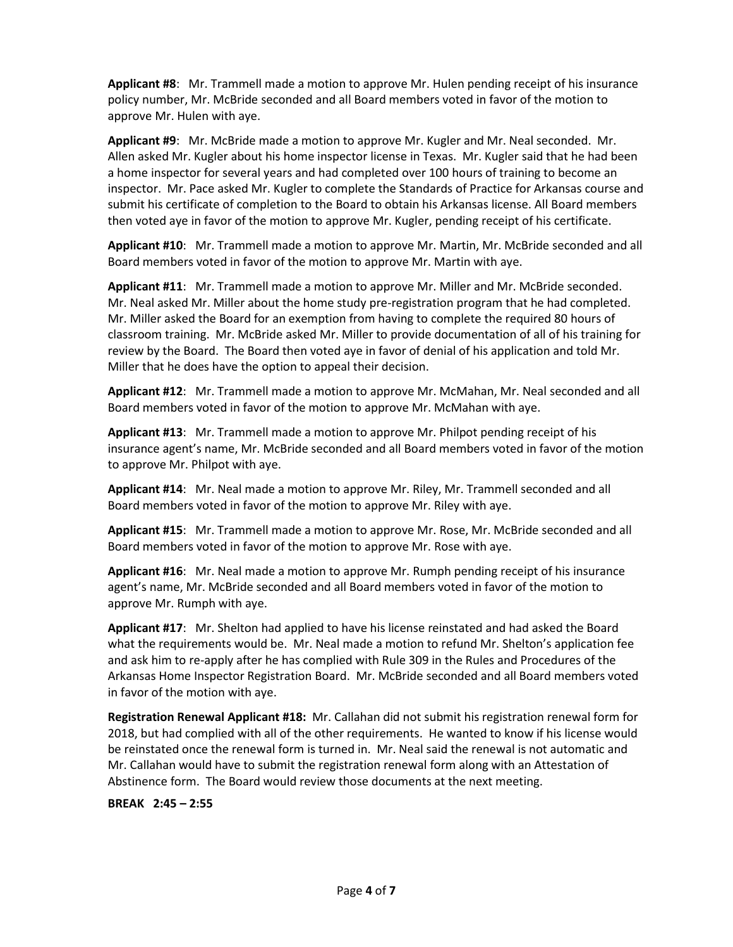**Applicant #8**: Mr. Trammell made a motion to approve Mr. Hulen pending receipt of his insurance policy number, Mr. McBride seconded and all Board members voted in favor of the motion to approve Mr. Hulen with aye.

**Applicant #9**: Mr. McBride made a motion to approve Mr. Kugler and Mr. Neal seconded. Mr. Allen asked Mr. Kugler about his home inspector license in Texas. Mr. Kugler said that he had been a home inspector for several years and had completed over 100 hours of training to become an inspector. Mr. Pace asked Mr. Kugler to complete the Standards of Practice for Arkansas course and submit his certificate of completion to the Board to obtain his Arkansas license. All Board members then voted aye in favor of the motion to approve Mr. Kugler, pending receipt of his certificate.

**Applicant #10**: Mr. Trammell made a motion to approve Mr. Martin, Mr. McBride seconded and all Board members voted in favor of the motion to approve Mr. Martin with aye.

**Applicant #11**: Mr. Trammell made a motion to approve Mr. Miller and Mr. McBride seconded. Mr. Neal asked Mr. Miller about the home study pre-registration program that he had completed. Mr. Miller asked the Board for an exemption from having to complete the required 80 hours of classroom training. Mr. McBride asked Mr. Miller to provide documentation of all of his training for review by the Board. The Board then voted aye in favor of denial of his application and told Mr. Miller that he does have the option to appeal their decision.

**Applicant #12**: Mr. Trammell made a motion to approve Mr. McMahan, Mr. Neal seconded and all Board members voted in favor of the motion to approve Mr. McMahan with aye.

**Applicant #13**: Mr. Trammell made a motion to approve Mr. Philpot pending receipt of his insurance agent's name, Mr. McBride seconded and all Board members voted in favor of the motion to approve Mr. Philpot with aye.

**Applicant #14**: Mr. Neal made a motion to approve Mr. Riley, Mr. Trammell seconded and all Board members voted in favor of the motion to approve Mr. Riley with aye.

**Applicant #15**: Mr. Trammell made a motion to approve Mr. Rose, Mr. McBride seconded and all Board members voted in favor of the motion to approve Mr. Rose with aye.

**Applicant #16**: Mr. Neal made a motion to approve Mr. Rumph pending receipt of his insurance agent's name, Mr. McBride seconded and all Board members voted in favor of the motion to approve Mr. Rumph with aye.

**Applicant #17**: Mr. Shelton had applied to have his license reinstated and had asked the Board what the requirements would be. Mr. Neal made a motion to refund Mr. Shelton's application fee and ask him to re-apply after he has complied with Rule 309 in the Rules and Procedures of the Arkansas Home Inspector Registration Board. Mr. McBride seconded and all Board members voted in favor of the motion with aye.

**Registration Renewal Applicant #18:** Mr. Callahan did not submit his registration renewal form for 2018, but had complied with all of the other requirements. He wanted to know if his license would be reinstated once the renewal form is turned in. Mr. Neal said the renewal is not automatic and Mr. Callahan would have to submit the registration renewal form along with an Attestation of Abstinence form. The Board would review those documents at the next meeting.

**BREAK 2:45 – 2:55**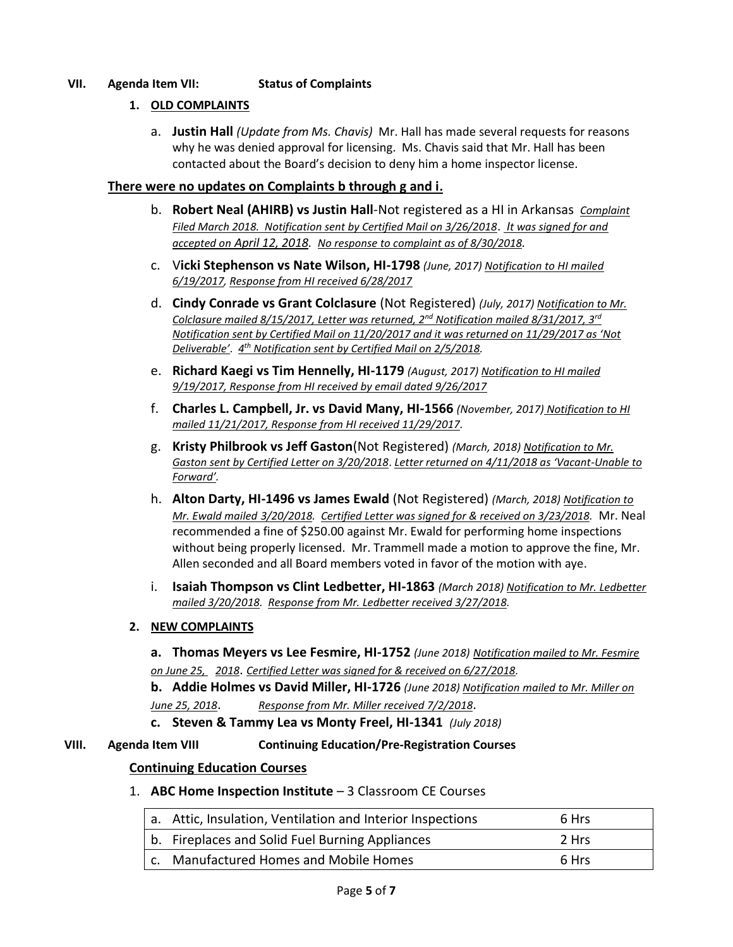# **VII. Agenda Item VII: Status of Complaints**

## **1. OLD COMPLAINTS**

a. **Justin Hall** *(Update from Ms. Chavis)* Mr. Hall has made several requests for reasons why he was denied approval for licensing. Ms. Chavis said that Mr. Hall has been contacted about the Board's decision to deny him a home inspector license.

## **There were no updates on Complaints b through g and i.**

- b. **Robert Neal (AHIRB) vs Justin Hall**-Not registered as a HI in Arkansas *Complaint Filed March 2018. Notification sent by Certified Mail on 3/26/2018*. *It was signed for and accepted on April 12, 2018. No response to complaint as of 8/30/2018.*
- c. V**icki Stephenson vs Nate Wilson, HI-1798** *(June, 2017) Notification to HI mailed 6/19/2017, Response from HI received 6/28/2017*
- d. **Cindy Conrade vs Grant Colclasure** (Not Registered) *(July, 2017) Notification to Mr. Colclasure mailed 8/15/2017, Letter was returned, 2nd Notification mailed 8/31/2017, 3rd Notification sent by Certified Mail on 11/20/2017 and it was returned on 11/29/2017 as 'Not Deliverable'*. *4 th Notification sent by Certified Mail on 2/5/2018.*
- e. **Richard Kaegi vs Tim Hennelly, HI-1179** *(August, 2017) Notification to HI mailed 9/19/2017, Response from HI received by email dated 9/26/2017*
- f. **Charles L. Campbell, Jr. vs David Many, HI-1566** *(November, 2017) Notification to HI mailed 11/21/2017, Response from HI received 11/29/2017.*
- g. **Kristy Philbrook vs Jeff Gaston**(Not Registered) *(March, 2018) Notification to Mr. Gaston sent by Certified Letter on 3/20/2018*. *Letter returned on 4/11/2018 as 'Vacant-Unable to Forward'.*
- h. **Alton Darty, HI-1496 vs James Ewald** (Not Registered) *(March, 2018) Notification to Mr. Ewald mailed 3/20/2018. Certified Letter was signed for & received on 3/23/2018.* Mr. Neal recommended a fine of \$250.00 against Mr. Ewald for performing home inspections without being properly licensed. Mr. Trammell made a motion to approve the fine, Mr. Allen seconded and all Board members voted in favor of the motion with aye.
- i. **Isaiah Thompson vs Clint Ledbetter, HI-1863** *(March 2018) Notification to Mr. Ledbetter mailed 3/20/2018. Response from Mr. Ledbetter received 3/27/2018.*

## **2. NEW COMPLAINTS**

**a. Thomas Meyers vs Lee Fesmire, HI-1752** *(June 2018) Notification mailed to Mr. Fesmire on June 25, 2018*. *Certified Letter was signed for & received on 6/27/2018.*

**b. Addie Holmes vs David Miller, HI-1726** *(June 2018) Notification mailed to Mr. Miller on June 25, 2018*. *Response from Mr. Miller received 7/2/2018*.

**c. Steven & Tammy Lea vs Monty Freel, HI-1341** *(July 2018)* 

## **VIII. Agenda Item VIII Continuing Education/Pre-Registration Courses**

## **Continuing Education Courses**

# 1. **ABC Home Inspection Institute** – 3 Classroom CE Courses

| a. Attic, Insulation, Ventilation and Interior Inspections | 6 Hrs |
|------------------------------------------------------------|-------|
| b. Fireplaces and Solid Fuel Burning Appliances            | 2 Hrs |
| c. Manufactured Homes and Mobile Homes                     | 6 Hrs |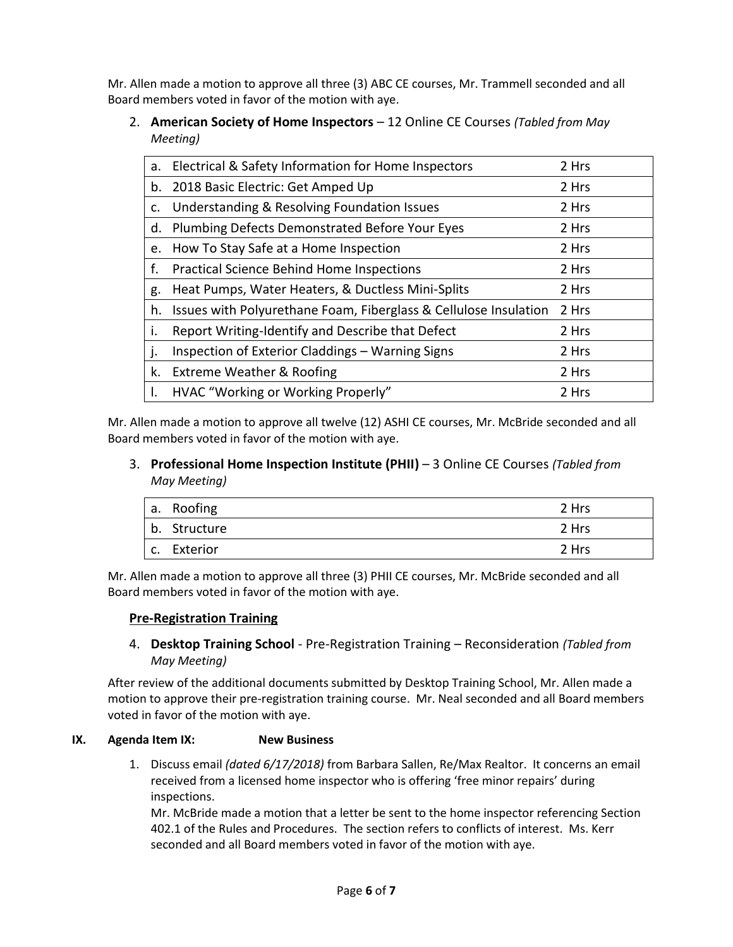Mr. Allen made a motion to approve all three (3) ABC CE courses, Mr. Trammell seconded and all Board members voted in favor of the motion with aye.

2. **American Society of Home Inspectors** – 12 Online CE Courses *(Tabled from May Meeting)*

| a.      | Electrical & Safety Information for Home Inspectors              | 2 Hrs |
|---------|------------------------------------------------------------------|-------|
| b.      | 2018 Basic Electric: Get Amped Up                                | 2 Hrs |
| c.      | Understanding & Resolving Foundation Issues                      | 2 Hrs |
| d.      | Plumbing Defects Demonstrated Before Your Eyes                   | 2 Hrs |
| e.      | How To Stay Safe at a Home Inspection                            | 2 Hrs |
| f.      | <b>Practical Science Behind Home Inspections</b>                 | 2 Hrs |
|         |                                                                  |       |
| g.      | Heat Pumps, Water Heaters, & Ductless Mini-Splits                | 2 Hrs |
| h.      | Issues with Polyurethane Foam, Fiberglass & Cellulose Insulation | 2 Hrs |
| İ.      | Report Writing-Identify and Describe that Defect                 | 2 Hrs |
| $\cdot$ | Inspection of Exterior Claddings - Warning Signs                 | 2 Hrs |
| k.      | Extreme Weather & Roofing                                        | 2 Hrs |
|         | HVAC "Working or Working Properly"                               | 2 Hrs |

Mr. Allen made a motion to approve all twelve (12) ASHI CE courses, Mr. McBride seconded and all Board members voted in favor of the motion with aye.

3. **Professional Home Inspection Institute (PHII)** – 3 Online CE Courses *(Tabled from May Meeting)*

| a. Roofing   | 2 Hrs |
|--------------|-------|
| b. Structure | 2 Hrs |
| c. Exterior  | 2 Hrs |

Mr. Allen made a motion to approve all three (3) PHII CE courses, Mr. McBride seconded and all Board members voted in favor of the motion with aye.

# **Pre-Registration Training**

4. **Desktop Training School** - Pre-Registration Training – Reconsideration *(Tabled from May Meeting)*

After review of the additional documents submitted by Desktop Training School, Mr. Allen made a motion to approve their pre-registration training course. Mr. Neal seconded and all Board members voted in favor of the motion with aye.

## **IX. Agenda Item IX: New Business**

1. Discuss email *(dated 6/17/2018)* from Barbara Sallen, Re/Max Realtor. It concerns an email received from a licensed home inspector who is offering 'free minor repairs' during inspections.

Mr. McBride made a motion that a letter be sent to the home inspector referencing Section 402.1 of the Rules and Procedures. The section refers to conflicts of interest. Ms. Kerr seconded and all Board members voted in favor of the motion with aye.